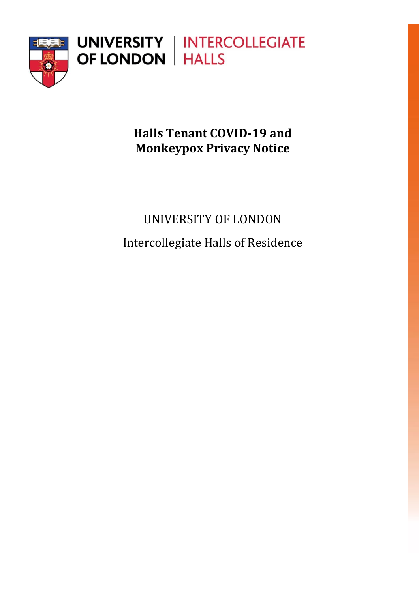

**Halls Tenant COVID-19 and Monkeypox Privacy Notice**

# UNIVERSITY OF LONDON Intercollegiate Halls of Residence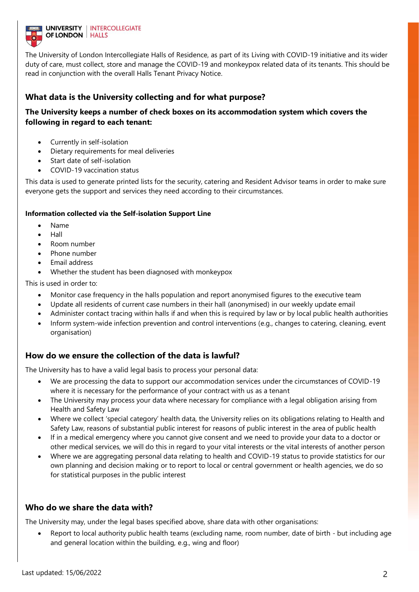

The University of London Intercollegiate Halls of Residence, as part of its Living with COVID-19 initiative and its wider duty of care, must collect, store and manage the COVID-19 and monkeypox related data of its tenants. This should be read in conjunction with the overall Halls Tenant Privacy Notice.

# **What data is the University collecting and for what purpose?**

### **The University keeps a number of check boxes on its accommodation system which covers the following in regard to each tenant:**

- Currently in self-isolation
- Dietary requirements for meal deliveries
- Start date of self-isolation
- COVID-19 vaccination status

This data is used to generate printed lists for the security, catering and Resident Advisor teams in order to make sure everyone gets the support and services they need according to their circumstances.

#### **Information collected via the Self-isolation Support Line**

- Name
- Hall
- Room number
- Phone number
- Email address
- Whether the student has been diagnosed with monkeypox

This is used in order to:

- Monitor case frequency in the halls population and report anonymised figures to the executive team
- Update all residents of current case numbers in their hall (anonymised) in our weekly update email
- Administer contact tracing within halls if and when this is required by law or by local public health authorities
- Inform system-wide infection prevention and control interventions (e.g., changes to catering, cleaning, event organisation)

### **How do we ensure the collection of the data is lawful?**

The University has to have a valid legal basis to process your personal data:

- We are processing the data to support our accommodation services under the circumstances of COVID-19 where it is necessary for the performance of your contract with us as a tenant
- The University may process your data where necessary for compliance with a legal obligation arising from Health and Safety Law
- Where we collect 'special category' health data, the University relies on its obligations relating to Health and Safety Law, reasons of substantial public interest for reasons of public interest in the area of public health
- If in a medical emergency where you cannot give consent and we need to provide your data to a doctor or other medical services, we will do this in regard to your vital interests or the vital interests of another person
- Where we are aggregating personal data relating to health and COVID-19 status to provide statistics for our own planning and decision making or to report to local or central government or health agencies, we do so for statistical purposes in the public interest

### **Who do we share the data with?**

The University may, under the legal bases specified above, share data with other organisations:

• Report to local authority public health teams (excluding name, room number, date of birth - but including age and general location within the building, e.g., wing and floor)